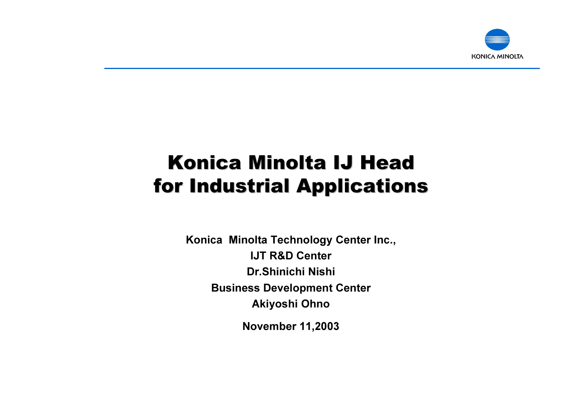

### Konica Minolta IJ Head for Industrial Applications for Industrial Applications

Konica Minolta Technology Center Inc., IJT R&D CenterDr.Shinichi NishiBusiness Development Center Akiyoshi Ohno

November 11,2003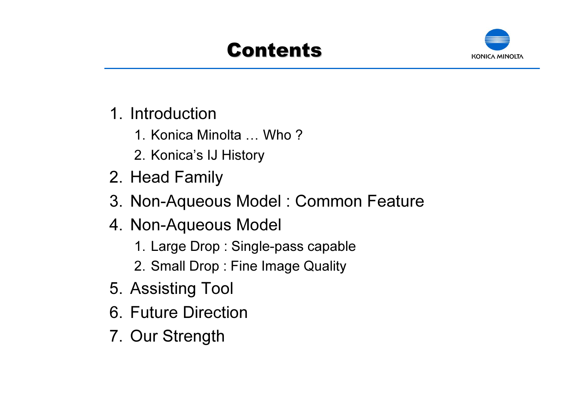## Contents



- 1. Introduction
	- 1. Konica Minolta … Who ?
	- 2. Konica's IJ History
- 2. Head Family
- 3. Non-Aqueous Model : Common Feature
- 4. Non-Aqueous Model
	- 1. Large Drop : Single-pass capable
	- 2. Small Drop : Fine Image Quality
- 5. Assisting Tool
- 6. Future Direction
- 7. Our Strength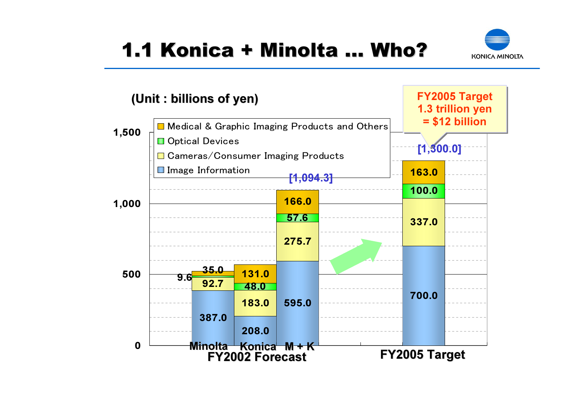

### 1.1 Konica + Minolta … Who?

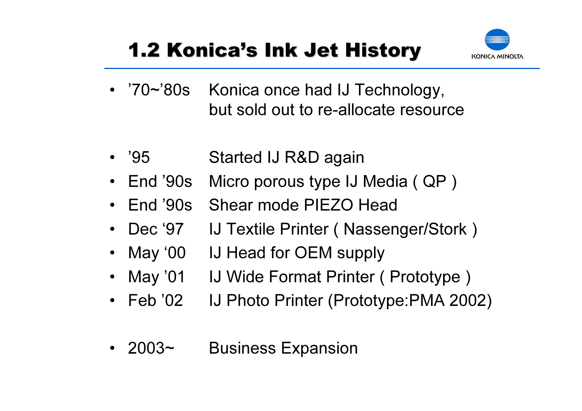# 1.2 Konica's Ink Jet History



- $70 \sim 80$ s Konica once had IJ Technology, but sold out to re-allocate resource
- '95 Started IJ R&D again
- •End '90s Micro porous type IJ Media ( QP )
- •End '90s Shear mode PIEZO Head
- •Dec '97 IJ Textile Printer (Nassenger/Stork)
- •May '00 IJ Head for OEM supply
- •May '01 IJ Wide Format Printer ( Prototype )
- Feb '02 IJ Photo Printer (Prototype:PMA 2002)
- 2003~ **Business Expansion**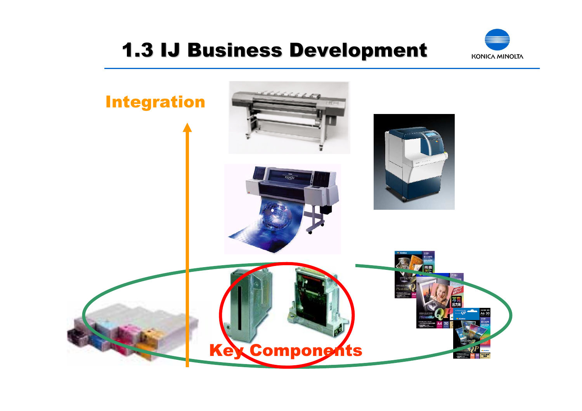### 1.3 IJ Business Development 1.3 IJ Business Development



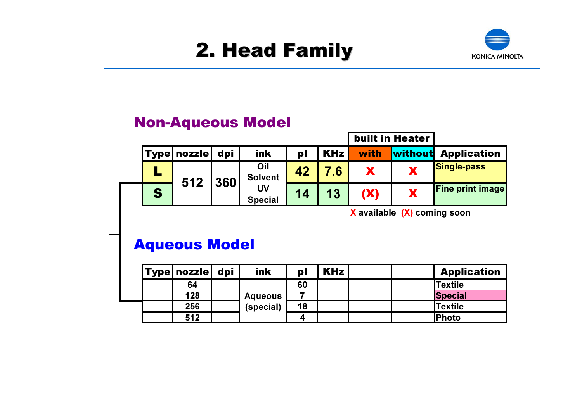

#### Non-Aqueous Model

|   |                    |     |                       |    |               |      | <b>built in Heater</b> |                            |
|---|--------------------|-----|-----------------------|----|---------------|------|------------------------|----------------------------|
|   | <b>Type nozzle</b> | dpi | ink                   | pl | <b>KHz</b>    | with |                        | <b>Without</b> Application |
|   | 512                | 360 | Oil<br><b>Solvent</b> | 42 | $^{\prime}.6$ |      |                        | <b>Single-pass</b>         |
| S |                    |     | UV<br><b>Special</b>  | 14 | 13            |      | X                      | <b>Fine print image</b>    |

X available (X) coming soon

#### Aqueous Model

|  | <b>Type   nozzle  </b> | dpi | ink                         | pl | KHz | <b>Application</b> |
|--|------------------------|-----|-----------------------------|----|-----|--------------------|
|  | 64                     |     | <b>Aqueous</b><br>(special) | 60 |     | Textile            |
|  | 128                    |     |                             |    |     | <b>Special</b>     |
|  | 256                    |     |                             | 18 |     | Textile            |
|  | 512                    |     |                             | ◢  |     | <b>Photo</b>       |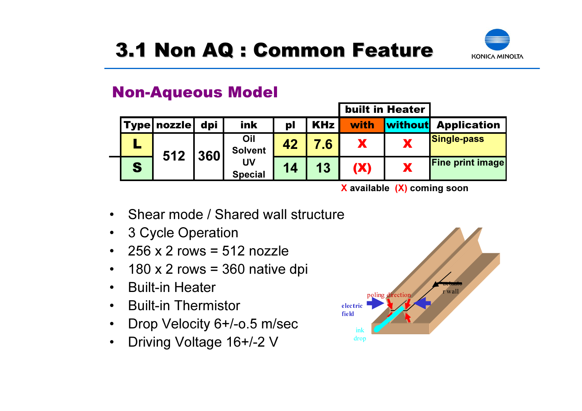

#### Non-Aqueous Model

|   |  |              |      |                       |    | <b>built in Heater</b> |            |         |                         |
|---|--|--------------|------|-----------------------|----|------------------------|------------|---------|-------------------------|
|   |  | 'Type nozzle | dpi' | ink                   | pl | <b>KHz</b>             | with       | without | <b>Application</b>      |
|   |  | 512          | 1360 | Oil<br><b>Solvent</b> | 42 |                        |            |         | <b>Single-pass</b>      |
| S |  |              |      | UV<br><b>Special</b>  | 14 | 13                     | <b>(X)</b> |         | <b>Fine print image</b> |

X available (X) coming soon

- •Shear mode / Shared wall structure
- $\bullet$ 3 Cycle Operation
- • $256 \times 2$  rows = 512 nozzle
- $\bullet$  $180 \times 2$  rows = 360 native dpi
- •Built-in Heater
- •Built-in Thermistor
- •Drop Velocity 6+/-o.5 m/sec
- •Driving Voltage 16+/-2 V

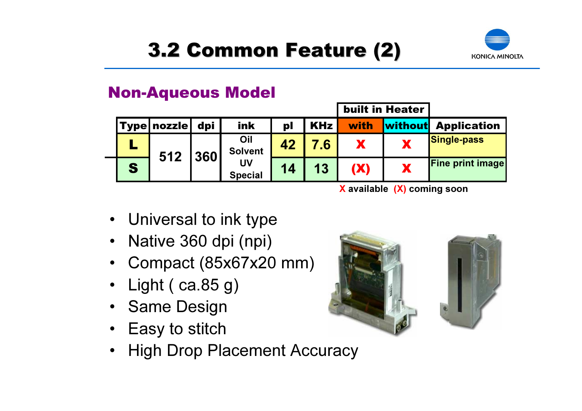

#### Non-Aqueous Model

|   |                        |     |                                               |    | <b>built in Heater</b> |      |                                           |                         |
|---|------------------------|-----|-----------------------------------------------|----|------------------------|------|-------------------------------------------|-------------------------|
|   | <b>Type   nozzle  </b> | dpi | ink                                           | pl | <b>KHz</b>             | with | without                                   | <b>Application</b>      |
|   | 512                    | 360 | Oil<br><b>Solvent</b><br>UV<br><b>Special</b> | 42 | 7.6.                   |      |                                           | <b>Single-pass</b>      |
| S |                        |     |                                               | 14 | 13                     | (X)  | X                                         | <b>Fine print image</b> |
|   |                        |     |                                               |    |                        |      | $\mathbf{v}$ is the state of $\mathbf{v}$ |                         |

X available (X) coming soon

- Universal to ink type
- Native 360 dpi (npi)
- Compact (85x67x20 mm)
- •Light ( ca.85 g)
- Same Design
- Easy to stitch
- •High Drop Placement Accuracy

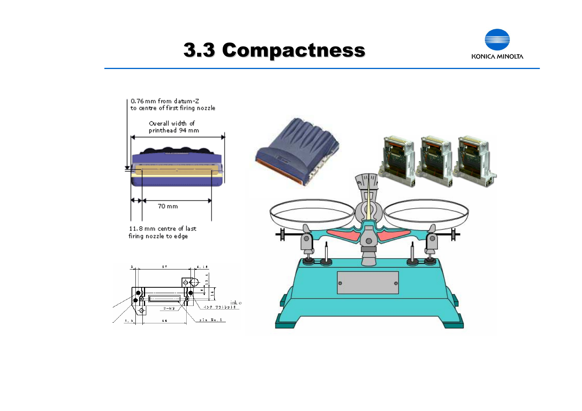### 3.3 Compactness 3.3 Compactness



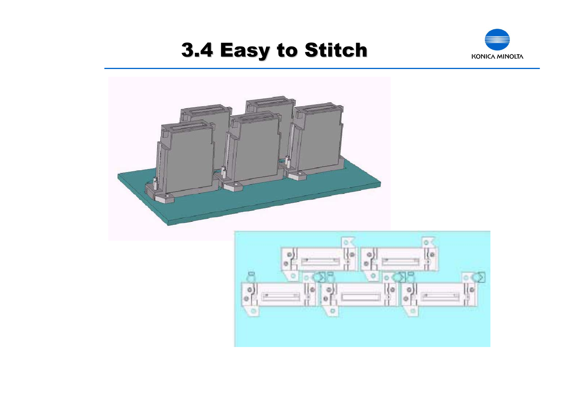### 3.4 Easy to Stitch 3.4 Easy to Stitch



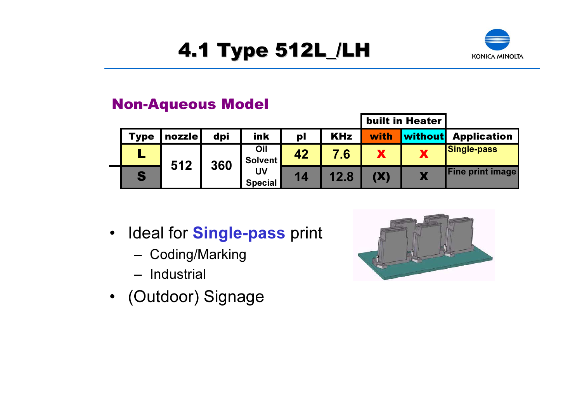# 4.1 Type 512L\_/LH 4.1 Type 512L\_/LH



#### Non-Aqueous Model

|             |        |     |                      |    |            |            | <b>built in Heater</b> |                         |
|-------------|--------|-----|----------------------|----|------------|------------|------------------------|-------------------------|
| <b>Type</b> | nozzle | dpi | ink                  | pl | <b>KHz</b> | with       | <b>without</b>         | <b>Application</b>      |
|             | 512    | 360 | Oil<br>Solvent       | 42 | 7.6        |            | А                      | <b>Single-pass</b>      |
| S           |        |     | UV<br><b>Special</b> | 14 |            | <b>(X)</b> |                        | <b>Fine print image</b> |

- $\bullet$ Ideal for **Single-pass** print
	- Coding/Marking
	- Industrial
- (Outdoor) Signage

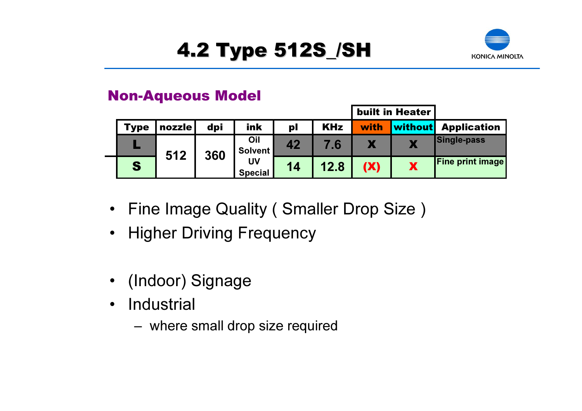# 4.2 Type 512S\_/SH 4.2 Type 512S\_/SH



#### Non-Aqueous Model

|      |        |     |                       |    |            |            | <b>built in Heater</b> |                            |
|------|--------|-----|-----------------------|----|------------|------------|------------------------|----------------------------|
| Type | nozzle | dpi | ink                   | pl | <b>KHz</b> | with       |                        | <b>without</b> Application |
|      | 512    | 360 | Oil<br><b>Solvent</b> | 42 |            |            |                        | Single-pass                |
| S    |        |     | UV<br><b>Special</b>  | 14 | 12.8       | <b>(X)</b> |                        | <b>Fine print image</b>    |

- Fine Image Quality ( Smaller Drop Size )
- Higher Driving Frequency
- (Indoor) Signage
- $\bullet$ **Industrial** 
	- where small drop size required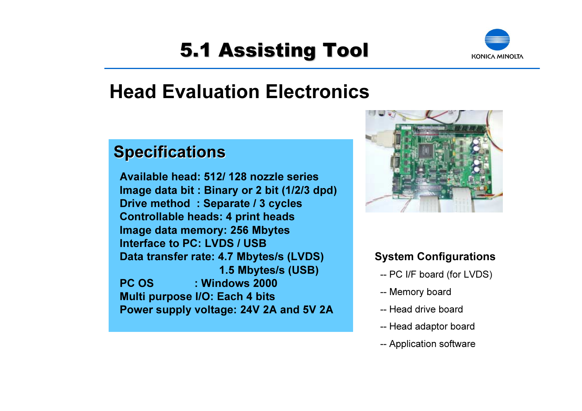# **5.1 Assisting Tool**



### Head Evaluation Electronics

#### **Specifications**

Available head: 512/ 128 nozzle seriesImage data bit : Binary or 2 bit (1/2/3 dpd) Drive method : Separate / 3 cycles Controllable heads: 4 print heads Image data memory: 256 Mbytes Interface to PC: LVDS / USBData transfer rate: 4.7 Mbytes/s (LVDS) 1.5 Mbytes/s (USB) PC OS : Windows 2000 Multi purpose I/O: Each 4 bits Power supply voltage: 24V 2A and 5V 2A



#### System Configurations

- -- PC I/F board (for LVDS)
- -- Memory board
- -- Head drive board
- -- Head adaptor board
- -- Application software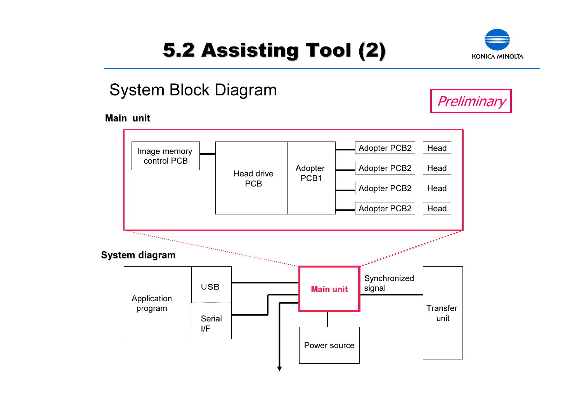# 5.2 Assisting Tool (2) 5.2 Assisting Tool (2)



### System Block Diagram

#### Main unit



**Preliminary**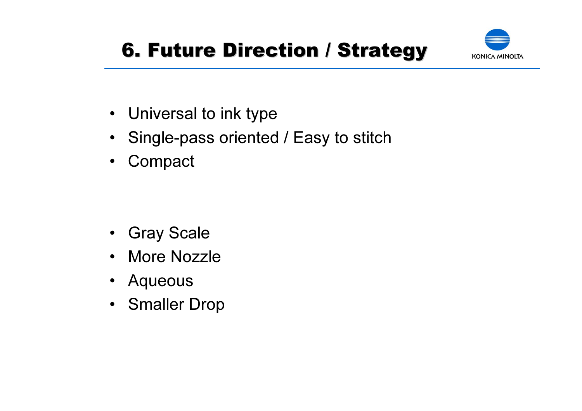# **6. Future Direction / Strategy**



- Universal to ink type
- $\bullet$ Single-pass oriented / Easy to stitch
- $\bullet$ **Compact**

- $\bullet$ Gray Scale
- •More Nozzle
- Aqueous
- Smaller Drop